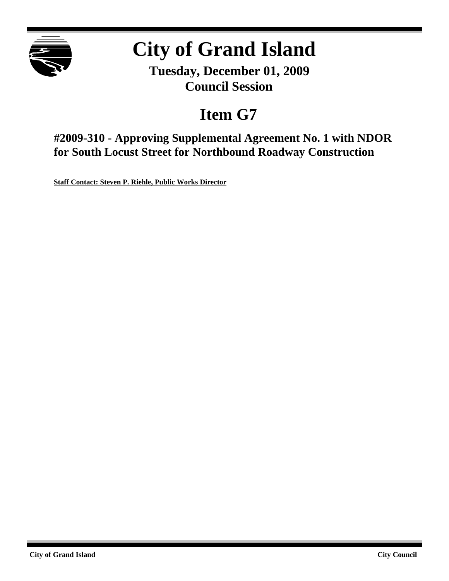

## **City of Grand Island**

**Tuesday, December 01, 2009 Council Session**

## **Item G7**

**#2009-310 - Approving Supplemental Agreement No. 1 with NDOR for South Locust Street for Northbound Roadway Construction**

**Staff Contact: Steven P. Riehle, Public Works Director**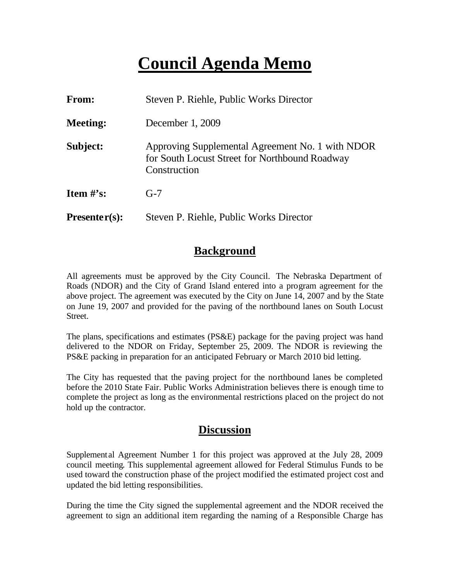### **Council Agenda Memo**

| <b>From:</b>    | Steven P. Riehle, Public Works Director                                                                            |  |  |
|-----------------|--------------------------------------------------------------------------------------------------------------------|--|--|
| <b>Meeting:</b> | December 1, 2009                                                                                                   |  |  |
| Subject:        | Approving Supplemental Agreement No. 1 with NDOR<br>for South Locust Street for Northbound Roadway<br>Construction |  |  |
| Item $\#$ 's:   | $G-7$                                                                                                              |  |  |
| $Presenter(s):$ | Steven P. Riehle, Public Works Director                                                                            |  |  |

#### **Background**

All agreements must be approved by the City Council. The Nebraska Department of Roads (NDOR) and the City of Grand Island entered into a program agreement for the above project. The agreement was executed by the City on June 14, 2007 and by the State on June 19, 2007 and provided for the paving of the northbound lanes on South Locust Street.

The plans, specifications and estimates (PS&E) package for the paving project was hand delivered to the NDOR on Friday, September 25, 2009. The NDOR is reviewing the PS&E packing in preparation for an anticipated February or March 2010 bid letting.

The City has requested that the paving project for the northbound lanes be completed before the 2010 State Fair. Public Works Administration believes there is enough time to complete the project as long as the environmental restrictions placed on the project do not hold up the contractor.

#### **Discussion**

Supplemental Agreement Number 1 for this project was approved at the July 28, 2009 council meeting. This supplemental agreement allowed for Federal Stimulus Funds to be used toward the construction phase of the project modified the estimated project cost and updated the bid letting responsibilities.

During the time the City signed the supplemental agreement and the NDOR received the agreement to sign an additional item regarding the naming of a Responsible Charge has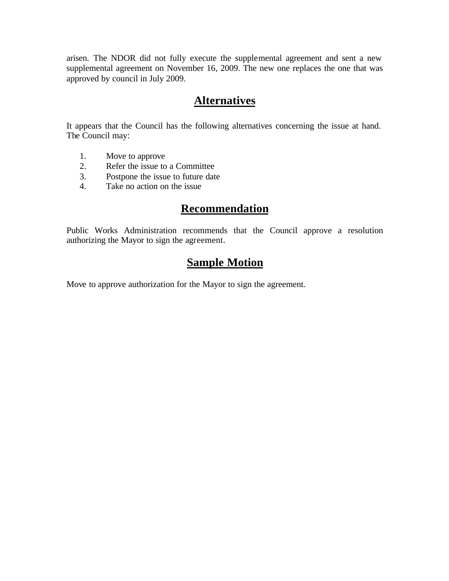arisen. The NDOR did not fully execute the supplemental agreement and sent a new supplemental agreement on November 16, 2009. The new one replaces the one that was approved by council in July 2009.

#### **Alternatives**

It appears that the Council has the following alternatives concerning the issue at hand. The Council may:

- 1. Move to approve
- 2. Refer the issue to a Committee
- 3. Postpone the issue to future date
- 4. Take no action on the issue

#### **Recommendation**

Public Works Administration recommends that the Council approve a resolution authorizing the Mayor to sign the agreement.

#### **Sample Motion**

Move to approve authorization for the Mayor to sign the agreement.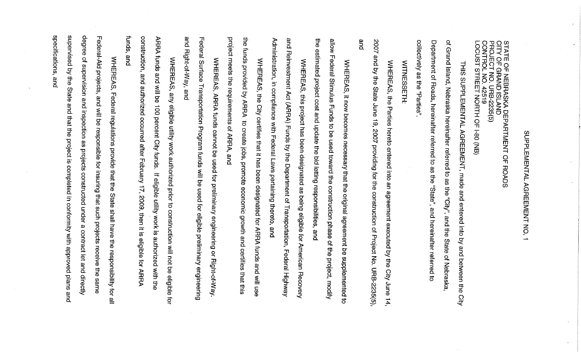# SUPPLEMENTAL AGREEMENT NO.  $\overline{a}$

STATE OF NEBRASKA DEPARTMENT OF<br>CITY OF GRAND ISLAND<br>PROJECT NO. URB-2235(5)<br>CONTROL NO. 42519<br>LOCUST STREET NORTH OF I-80 (NB) **ROADS** 

Q, Grand Island, Nebraska hereinafter referred to as the "City", and the State of Nebraska THIS SUPPLEMENTAL AGREEMENT, made and entered into by and between the Qity

collectively as the "Parties" Department of Roads, hereinafter referred to as the "State", and hereinafter referred ส

**WITNESSETH:** 

and 2002 and by the State June WHEREAS, the Parties hereto entered into an agreement executed by the 19, 2007 providing for the construction of Project No. URB-2235(5), City June  $\frac{1}{4}$ 

wolls に<br>この estimated project cost and update the bid letting responsibilities, and Federal Stimulus Funds to be used toward the construction phase of the project, modity WHEREAS, it now becomes necessary that the original agreement be supplemented  $\vec{a}$ 

Administration, in compliance with Federal Laws pertaining thereto, and Reinvestment Act (ARRA) Funds by the Department of Transportation, WHEREAS, this project has been designated as being eligible for American Recovery and Federal Highway

project meets the requirements of ARRA, and the funds provided by ARRA to create jobs, promote economic growth and certifies that this WHEREAS, the City certifies that it has been designated for ARRA funds and will use

and Federal Surface Transportation Program funds will be used for eligible preliminary engineering Right-of-Way, and WHEREAS, ARRA funds cannot be used for preliminary engineering or Right-of-Way

tunds construction, and authorized occurred after February 17, 2009, then it is eligible for ARRA ARRA funds and will be 100 percent City funds. and WHEREAS, any eligible utility work authorized prior to construction will not be eligible If eligible utility work is authorized with the ਰ੍ਰੇ

specifications, supervised by degree Federal-Aid projects, of supervision and inspection as projects constructed under a contract let and directly WHEREAS, Federal regulations provide that the State shall have the responsibility for all  $\ddot{\vec{r}}$ and State and will be responsible for insuring that such projects receive the and that the project is completed in conformity with approved plans and same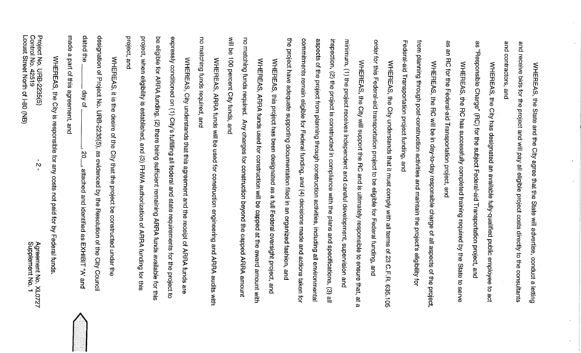| the project have adequate supporting documentation filed in an organized fashion, and                                                           |
|-------------------------------------------------------------------------------------------------------------------------------------------------|
| WHEREAS, this project has been designated as a full Federal oversight project, and                                                              |
| WHEREAS, ARRA funds used for construction will be capped at the award amount with                                                               |
| no matching funds required. Any charges for construction beyond the capped ARRA amount                                                          |
| will be 100 percent City funds, and                                                                                                             |
| WHEREAS, ARRA funds will be used for construction engineering and ARRA audits with                                                              |
| no matching funds required, and                                                                                                                 |
| WHEREAS, City understands that this agreement and the receipt of ARRA funds are                                                                 |
| expressly conditioned on (1) City's fulfilling all federal and state requirements for the project to                                            |
| be eligible for ARRA funding, (2) there being sufficient remaining ARRA funds available for this                                                |
| project, when eligibility is established, and (3) FHWA authorization of ARRA funding tor this                                                   |
| project, and                                                                                                                                    |
| WHEREAS, it is the desire of the City that the project be constructed under the                                                                 |
| designation of Project No. URB-2235(5), as evidenced by the Resolution of the City Council                                                      |
| dated the<br>day of<br>-, 20<br>- attached and identified as EXHIBIT "A' and                                                                    |
| made a part of this agreement, and                                                                                                              |
| WHEREAS, the City is responsible for any costs not paid for by Federal funds                                                                    |
| Locust Steet Noth of 1-80 (NB)<br>Control No. 42519<br>Project No. URB-2235(5)<br>$\mathbf r$<br>Σ,<br>Agreement No. XL0727<br>Supplement No. 1 |

and receive bids for the project and will pay all eligible project costs directly to the consultants and contractors, and WHEREAS, the State and the City agree that the State will advertise, conduct a letting

as "Responsible Charge" (RC) for the subject Federal-aid Transportation project, and WHEREAS, the City has designated an available fully-qualified public employee to act

as an RC for the Federal-aid Transportation project, and WHEREAS, the RC has successfully completed training required by the State to serve

from Federal-aid Transportation project funding, and planning through post-construction activities and maintain the project's eligibility for WHEREAS, the RC will be in day-to-day responsible charge of all aspects of the project,

order for this Federal-aid transportation project to be eligible for Federal funding, and WHEREAS, the City understands that it must comply with all terms of 23 C.F.R. 635.105

the project have commitments remain eligible for Federal funding, and (4) decisions made and actions taken for aspects of the project from planning through construction activities, including all environmental inspection, (2) the project is constructed in compliance with the plans and specifications, (3) all minimum, (1) the project receives independent and careful development, supervision and WHEREAS, the City will support the RC and is ultimately responsible to ensure that, at a adequate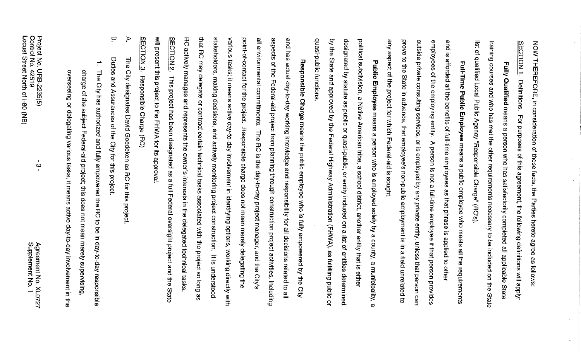SECTION<sub>1</sub> NOW THEREFORE, in consideration of these facts, the Parties hereto agree as follows: **Definitions.** For purposes of this agreement, the following definitions will apply:

list of qualified Local Public Agency "Responsible Charge" (RC's). training courses and who has met the other requirements necessary to be included on the State Fully Qualified means a person who has satisfactorily completed all applicable State

prove outside private consulting services, or is employed by any private entity, unless that person can employees of the employing entity. A person is not a full-time employee if that person provides and is afforded all the benefits of full-time employees as that phrase is applied to other to the State in advance, that employee's non-public employment is in a field unrelated Full-Time Public Employee means a public employee who meets all the requirements ಕ

any aspect of the project for which Federal-aid is sought.

quasi-public functions by the State and approved by the Federal Highway Administration (FHWA), as fulfilling public designated by statute as public or quasi-public, or entity included on a list of entities determined political subdivision, a Native American tribe, a school district, another entity that is either Public Employee means a person who is employed solely by a county, a municipality, ă <u>ന</u>

RC will present this project to the FHWA for its approval **SECTION 2.** that RC may delegate or contract certain technical tasks associated with the project so long as stakeholders, making decisions, and actively monitoring project construction. It is understood various tasks; it means active day-to-day involvement in identifying options, working directly with point-of-contact for the project. Responsible charge does not mean merely delegating the all environmental commitments. The RC is the day-to-day project manager, and the City's aspects of the Federal-aid project from planning through construction project activities, including and has actual day-to-day working knowledge and responsibility for all decisions related to all actively manages and represents the owner's interests in the delegated technical tasks Responsible Charge means the public employee who is fully empowered by the City This project has been designated as a full Federal oversight project and the State

**SEC** TION<sub>3</sub> Responsible Charge (RC)

 $\blacktriangleright$ The City designates David Goedeken as RC for this project

 $\overline{\mathbf{u}}$ Duties and Assurances of the City for this project.

 $\overline{\phantom{a}}^{\phantom{a}}$ The City has authorized and fully empowered the RC to be in day-to-day responsible charge of the subject Federal-aid project; this does not mean merely supervising,

overseeing or delegating various tasks, it means active day-to-day involvement in the

 $\omega$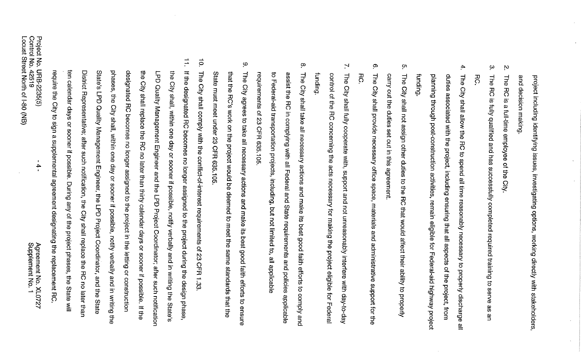and decision making project including identifying issues, investigating options, working directly with stakeholders,

- $\mathbf{N}$ The RC is a full-time employee of the City
- $\omega$ **The RC** RC is fully qualified and has successfully completed required training to serve 9S an
- $\blacktriangle$ planning through post-construction activities, remain eligible for Federal-aid highway project duties associated with the project, including ensuring that all aspects of the project, from The City shall allow the RC to spend all time reasonably necessary to properly discharge all
- $\sigma$ The City shall not assign other duties to the RC that would affect their ability to properly carry out the duties set out in this agreement.
- $\infty$ RС The City shall provide necessary office space, materials and administrative support for the
- $\mathbf{N}$ funding control of the RC concerning the acts necessary for making the project eligible for Federal The City shall fully cooperate with, support and not unreasonably interfere with day-to-day
- $\infty$ **The** to Federal-aid transportation projects, including, but not limited to, all applicable requirements of 23 CFR 635.105 assist the RC in complying with all Federal and State requirements and policies applicable City shall take all necessary actions and make its best good faith efforts to comply and
- $\circ$ State must meet under 23 CFR 635.105 that the RC's work on the project would be deemed to meet the same standards that the The City agrees to take all necessary actions and make its best good faith efforts to ensure
- $\vec{0}$ The City shall comply with the conflict-of-interest requirements of 23 CFR 1.33
- $\frac{1}{1}$ require ten phases, the City shall, within one day or sooner if possible, notify verbally and in writing the State's LPD Quality Management Engineer, the LPD Project Coordinator, and the State designated RC becomes no longer assigned to the project in the letting or construction the City shall replace the RC no later than thirty calendar days or sooner if possible. If the LPD Quality Management Engineer and the LPD Project Coordinator; after such notification If the designated RC becomes no longer assigned to the project during the design phase, District Representative; after such notification, the City shall replace the RC no later than the City shall, within one day or sooner if possible, notify verbally and in writing the State's calendar days or sooner if possible. During any of the project phases, the State will the City to sign a supplemental agreement designating the replacement RC

 $\ddot{ }$ 

Agreement No. XL0727<br>Supplement No. 1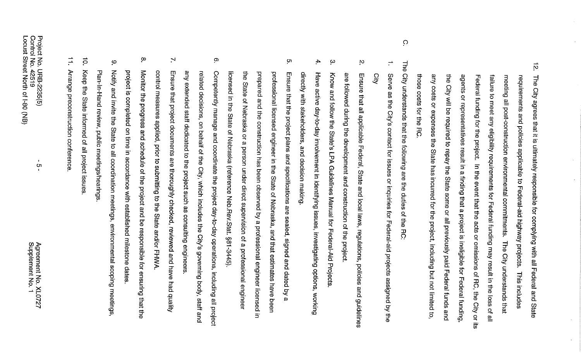- $\vec{p}$ those ₹ any costs or expenses the State has incurred for the project, including but not limited to, agents or representatives result in a finding that a project is ineligible for Federal funding, Federal funding for the project. In the event that the acts or omissions of RC, the City or its failure to meet any eligibility requirements for Federal funding may result in the loss of all meeting all post-construction environmental commitments. requirements and policies applicable to Federal-aid highway projects. The City agrees that it is ultimately responsible for complying with all Federal and State City will be required to repay the State some or all previously paid Federal funds and costs for the ದ<br>ನ The City understands that This includes
- **The** City understands that the following are the duties i of the  $\overline{5}$

 $\Omega$ 

- $\overline{\phantom{a}}^{\phantom{a}+}$ <u>O</u>lty Serve as the City's contact for issues or inquiries for Federal-aid projects assigned by the
- Ņ are followed during the development and construction of the project. Ensure that all applicable Federal, State and local laws, regulations, policies and guidelines
- $\omega$ Know and follow the State's LPA Guidelines Manual for Federal-Aid Projects
- $4.$ Have directly with stakeholders, and decision making active day-to-day involvement in identifying issues, investigating options, working
- <u>ហ</u> licensed in the State of Nebraska (reference Neb.Rev.Stat. §81-3445). the State of Nebraska or a person under direct supervision of a professional engineer prepared and the construction has been observed by a professional engineer licensed professional licensed engineer in the State of Nebraska, and that estimates have been Ensure that the project plans and specifications are sealed, signed and dated by  $\omega$  $\Xi$
- $\infty$ any extended staff dedicated to the project such as consulting engineers related decisions, on behalf of the City, which includes the City's governing body, staff and Competently manage and coordinate the project day-to-day operations, including all project
- $\mathbf{r}$ Ensure that project documents are thoroughly checked, reviewed and have had quality control measures applied, prior to submitting to the State and/or FHWA.
- $\infty$ Monitor the progress and schedule of the project and be responsible for ensuring that the project is completed on time in accordance with established milestone dates
- $\ddot{\circ}$ Notify and invite the State to all coordination meetings, environmental scoping meetings Plan-In-Hand review, public meetings/hearings
- $\vec{0}$ Keep the State informed of all project issues
- $\overrightarrow{+}$ Arrange preconstruction conference

**o**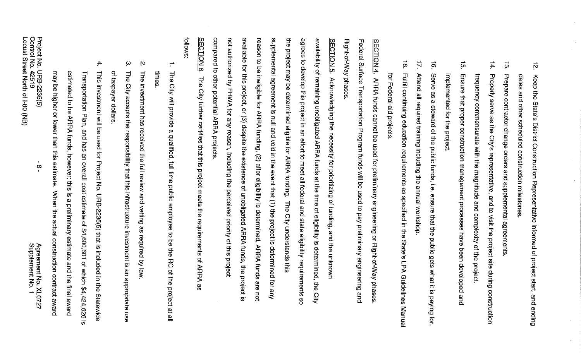| Agreement No. XL0727<br>Supplement No. 1                                                    | Project No. URB-2235(5)<br>Control No. 42519<br>Locust<br>Street<br>North of I-80<br>$\overline{\mathbf{g}}$<br>$\infty$ |
|---------------------------------------------------------------------------------------------|--------------------------------------------------------------------------------------------------------------------------|
| When the actual construction contract award                                                 | may<br>be pigher or lower than this estimate.                                                                            |
| ARRA funds, however; this is a preliminary estimate and the final award                     | estimated to be                                                                                                          |
| Ω.                                                                                          | Transportation Plan, and has an overall cost estimate of \$4,600,601 of which \$4,424,626                                |
| URB-2035(5) that is included in the<br>Statewide                                            | 4.<br>This investment will be used for Project No.                                                                       |
|                                                                                             | of taxpayer dollars.                                                                                                     |
| City accepts the responsibility that this infrastructure investment is an appropriate use   | $\sim$<br><b>The</b>                                                                                                     |
|                                                                                             | Ņ<br>The investment has received the full review and vetting as required by law.                                         |
|                                                                                             | times                                                                                                                    |
| a qualified, full time public employee to be the RC<br>of the project at all                | The City will provide                                                                                                    |
|                                                                                             | follows                                                                                                                  |
| of ARRA as                                                                                  | <b>SECTION 6.</b><br>The City further certifies that this project meets the requirements                                 |
|                                                                                             | compared<br>$\vec{\sigma}$<br>other potential ARRA projects                                                              |
|                                                                                             | not authorized by FHWA for any reason, including the perceived priority of this project                                  |
|                                                                                             | available for this project, or (3) despite the existence of unobligated ARRA funds, the project is                       |
| are not                                                                                     | reason<br>to be ineligible for ARRA funding, (2) after eligibility is determined, ARRA funds                             |
| Aue                                                                                         | supplemental agreement is null and void in the event that (1) the project is determined for                              |
| The City understands this                                                                   | the project may be determined eligible for ARRA funding.                                                                 |
|                                                                                             | agrees<br>$\sigma$<br>develop this project in an effort to meet all federal and state eligibility requirements so        |
| of eligibility is determined,<br>당.<br>이<br><b>Qity</b>                                     | availability of remaining unobligated ARRA funds<br>at the time                                                          |
|                                                                                             | <b>SECTION 5.</b><br>Acknowledging the necessity for prioritizing of funding, and the unknown                            |
|                                                                                             | Right-of-Way phases                                                                                                      |
| and                                                                                         | Federal Surface Transportation Program funds will be used to pay preliminary engineering                                 |
|                                                                                             | <b>SECTION 4.</b><br>ARRA funds cannot be used for preliminary engineering or Right-of-Way phases                        |
|                                                                                             | ਕ੍ਰੋ<br>Federal-aid projects                                                                                             |
| as specified in the State's<br>LPA Guidelines Manual                                        | ∸<br>$\infty$<br>Fulfill continuing education requirements                                                               |
|                                                                                             | $\overrightarrow{2}$<br>Attend all required training including the annual workshop                                       |
| gets what it is paying for.                                                                 | $\vec{\circ}$<br>Serve<br>8<br>a steward of the public funds, i.e. ensure that the public                                |
|                                                                                             | implemented for the project.                                                                                             |
| and                                                                                         | ίŋ<br>Ensure that proper construction management processes have been developed                                           |
| the magnitude and complexity of the project                                                 | frequency commensurate with                                                                                              |
| representative, and to visit the project site during construction                           | $\ddot{4}.$<br>Properly<br>serve<br>as the<br><b>City's</b>                                                              |
|                                                                                             | $\vec{\omega}$<br>Prepare contractor change orders and supplemental agreements                                           |
|                                                                                             | dates<br>and other scheduled construction milestones                                                                     |
| Keep the State's District Construction Representative informed of project start, and ending | $\vec{p}$                                                                                                                |

 $\frac{1}{\sqrt{2}}$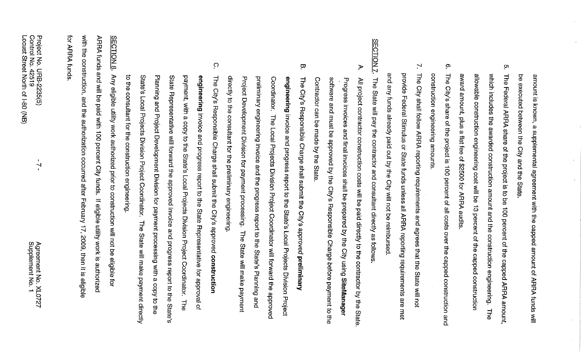ă amount is known, a supplemental agreement with the capped amount of ARRA funds will executed between the City and the State

 $\ddot{\phantom{a}}$ 

 $\mathbf{r}$ 

- ò. The Federal ARRA share of the project is to be 100 percent of the capped ARRA amount, award amount, plus a flat fee of \$2500 for ARRA audits which includes the awarded construction amount and the construction engineering. allowable construction engineering cost will be 13 percent of the capped construction **The**
- $\infty$ construction engineering amounts The City's share of the project is 100 percent of all costs over the capped construction and
- $\mathcal{N}$ **The** provide Federal Stimulus or State funds unless all ARRA reporting requirements are met and any funds already paid out by the City will not be reimbursed City shall follow ARRA reporting requirements and agrees that the State will not
- SECTION<sub>7</sub> The State will pay the contractor and consultant directly as follows
- $\blacktriangleright$ software and must be approved by the City's Responsible Charge before payment to the Contractor can be made by the State. Progress invoices and final invoices shall be prepared by the City using SiteManager All project contractor construction costs will be paid directly to the contractor by the State
- ā directly to the consultant for the preliminary engineering. Project Development Division for payment processing. The State will make payment preliminary engineering invoice and the progress report to the State's Planning and engineering invoice and progress report to the State's Local Projects Division Project **The** Coordinator. City's Responsible Charge shall submit the City's approved preliminary The Local Projects Division Project Coordinator will forward the approved
- $\Omega$  $\vec{\sigma}$ State's Local Projects Division Project Coordinator. The State will make payment directly Planning and Project Development Division for payment processing with a copy to the State Representative will forward the approved invoice and progress report to the State's payment, with a copy to the State's Local Projects Division Project Coordinator. engineering invoice and progress report to the State Representative for approval of The City's Responsible Charge shall submit the City's approved construction the consultant for the construction engineering **The**

with the construction, and the authorization occurred after February 17, 2009, then it is eligible for ARRA funds ARRA funds and will be paid with 100 percent City funds. If eligible utility work is authorized **SECTION 8.** Any eligible utility work authorized prior to construction will not be eligible for

 $\overline{\phantom{0}}$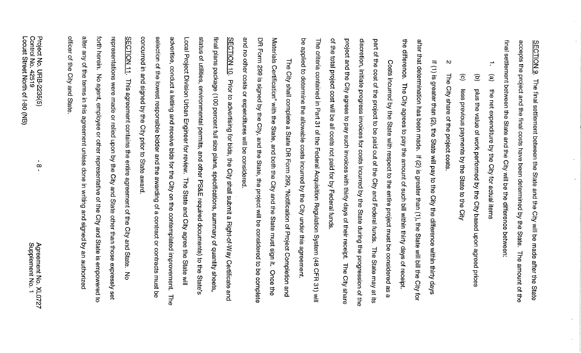final settlement between the State and the City will be the difference between: accepts the project and the final costs have been determined by the **SECTION 9** The final settlement between the State and the City will be made after the State State **The** amount of the

 $\overline{\phantom{a}}$ 

 $\widehat{e}$ the net expenditure by the City for actual items

 $\rightleftarrows$ 

- $\widehat{\sigma}$ plus the value of work performed by the City based upon agreed I prices
- $\widehat{\odot}$ less previous payments by the State to the City
- $\mathbf{D}$ **The** City share of the project costs.

after the difference. that determination has been made. If (2) is greater than (1), the State will bill the City If (1) is greater than (2), the State will pay to the City the difference within thirty days The City agrees to pay the amount of such bill within thirty days of receipt. iot

Q, project and the City agrees to pay such invoices with thirty days of their receipt. The City share discretion, initiate progress invoices for costs incurred by the State during the progression of the part of the cost of the project to be paid out of the City and Federal funds. the total project cost will be all costs not paid for by Federal funds Costs incurred by the State with respect to the entire project must be considered as The State may at its  $\boldsymbol{\omega}$ 

be applied to determine the allowable costs incurred by the City under this agreement. The criteria contained in Part 31 of the Federal Acquisition Regulation System (48 CFR  $\frac{1}{21}$  will

DR Form 299 is signed by the City, and the State, the project will be considered to be complete and no other costs or expenditures will be considered. Materials Certification" with the State, and both the City and the State must sign it. The City shall complete a State DR Form 299, "Notification of Project Completion Once the and

concurred in and signed by the City prior to State award. selection of the lowest responsible bidder and the awarding of a contract or contracts must be Local advertise, conduct a letting and receive bids for the City on the contemplated improvement. snitus final plans package (100 percent full size plans, specifications, summary of quantity sheets, SECTION 10. Prior to advertising for bids, the City shall submit a Right-of-Way Certificate Project Division Urban Engineer for review. of utilities, environmental permits, and other PS&E required documents) to the State's The State and City agree the State will and **The** 

officer of the City and State alter any of the terms in this forth herein. representations were made or relied upon by the City and State other than those expressly set SECTION 11 No agent, employee or other representative of the City and State is empowered This agreement contains the entire agreement of the City and State. agreement unless done in writing and signed by an authorized  $rac{1}{5}$  $\vec{c}$ 

 $\infty$ 

Agreement No. X<br>Supplement No. XL0727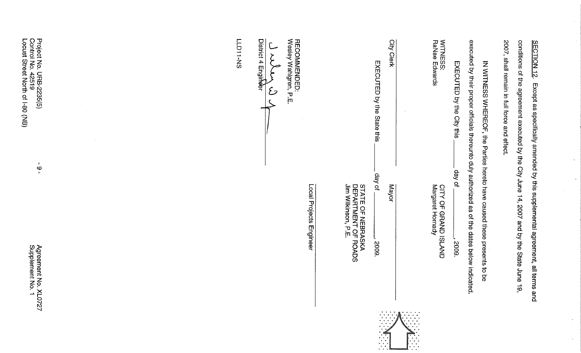| Project No. URB-2235(5)<br>Control No. 42519<br>Locust Street North of I-80 (NB)<br>$\mathbf{f}$<br>$\circ$ | RECOMMENDED:<br>Wesley Wahlgren, P.E.<br>District 4 Engineer<br><b>LLD11-NS</b><br>$\mathcal{L}$ | City Clerk<br>EXECUTED by the State this<br>$\sim$                                          | RaNae<br>WITNESS:<br>executed by their proper officials thereunto duly authorized as of the dates below indicated.<br>2007, shall remain in full force and effect.<br>conditions of the agreement executed by the City June 14, 2007 and by the State June 19,<br><b>SECTION 12.</b><br>Edwards<br>IN WITNESS WHEREOF, the Parties hereto have caused these presents to<br>EXECUTED by the City this |
|-------------------------------------------------------------------------------------------------------------|--------------------------------------------------------------------------------------------------|---------------------------------------------------------------------------------------------|------------------------------------------------------------------------------------------------------------------------------------------------------------------------------------------------------------------------------------------------------------------------------------------------------------------------------------------------------------------------------------------------------|
| Agreement No. XLO<br>Supplement No. 1<br><b>ZZZO</b>                                                        | Local Projects Engineer                                                                          | day of<br>STATE OF NEBRASKA<br>DEPARTMENT OF ROADS<br>Jim Wilkinson, P.E.<br>Mayor<br>2009. | Except as specifically amended by this supplemental agreement, all terms and<br>day of<br>Margaret Hornady<br><b>CITY OF</b><br><b>GRAND ISLAND</b><br>2009.<br>9<br>8                                                                                                                                                                                                                               |
|                                                                                                             |                                                                                                  |                                                                                             |                                                                                                                                                                                                                                                                                                                                                                                                      |

 $\mathcal{A}^{\mathcal{A}}$ 

 $\mathcal{L}_{\mathcal{L}}$ 

 $\alpha$ 

 $\frac{1}{2}$ 

 $\epsilon$ 

 $\epsilon$ 

 $\sim 10^6$ 

 $\sim 10^{-1}$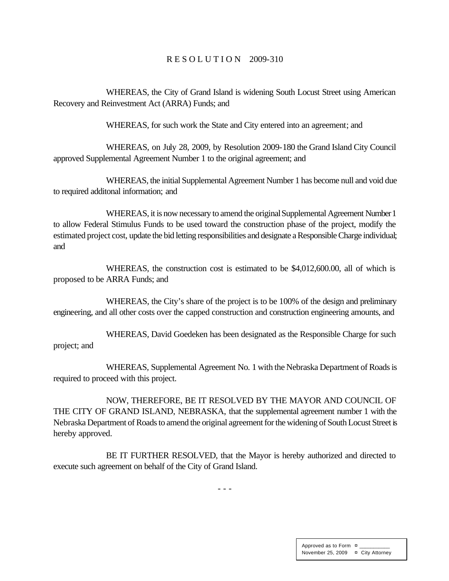#### R E S O L U T I O N 2009-310

WHEREAS, the City of Grand Island is widening South Locust Street using American Recovery and Reinvestment Act (ARRA) Funds; and

WHEREAS, for such work the State and City entered into an agreement; and

WHEREAS, on July 28, 2009, by Resolution 2009-180 the Grand Island City Council approved Supplemental Agreement Number 1 to the original agreement; and

WHEREAS, the initial Supplemental Agreement Number 1 has become null and void due to required additonal information; and

WHEREAS, it is now necessary to amend the original Supplemental Agreement Number 1 to allow Federal Stimulus Funds to be used toward the construction phase of the project, modify the estimated project cost, update the bid letting responsibilities and designate a Responsible Charge individual; and

WHEREAS, the construction cost is estimated to be \$4,012,600.00, all of which is proposed to be ARRA Funds; and

WHEREAS, the City's share of the project is to be 100% of the design and preliminary engineering, and all other costs over the capped construction and construction engineering amounts, and

WHEREAS, David Goedeken has been designated as the Responsible Charge for such project; and

WHEREAS, Supplemental Agreement No. 1 with the Nebraska Department of Roads is required to proceed with this project.

NOW, THEREFORE, BE IT RESOLVED BY THE MAYOR AND COUNCIL OF THE CITY OF GRAND ISLAND, NEBRASKA, that the supplemental agreement number 1 with the Nebraska Department of Roads to amend the original agreement for the widening of South Locust Street is hereby approved.

BE IT FURTHER RESOLVED, that the Mayor is hereby authorized and directed to execute such agreement on behalf of the City of Grand Island.

- - -

Approved as to Form  $\pi$ November 25, 2009 ¤ City Attorney